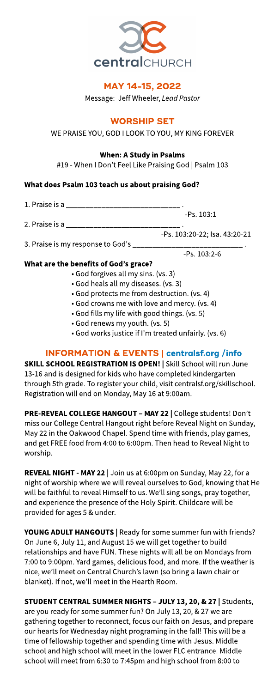

## MAY 14-15, 2022

Message: Jeff Wheeler, Lead Pastor

## **WORSHIP SET**

#### WE PRAISE YOU, GOD I LOOK TO YOU, MY KING FOREVER

## When: AStudy in Psalms

#19 - When I Don't Feel Like Praising God | Psalm 103

## What does Psalm 103 teach us about praising God?

1. Praise is a \_\_\_\_\_\_\_\_\_\_\_\_\_\_ -Ps. 103:1 2. Praise is a -Ps. 103:20-22; Isa. 43:20-21 3. Praise is my response to God's \_\_\_\_ -Ps. 103:2-6

## What are the benefits of God?s grace?

- God forgivesall my sins. (vs. 3)
- God heals all my diseases. (vs. 3)
- God protects me from destruction. (vs. 4)
- God crowns me with love and mercy. (vs. 4)
- God fillsmy life with good things. (vs. 5)
- God renewsmy youth. (vs. 5)
- God works justice if I'm treated unfairly. (vs. 6)

## INFORMATION& EVENTS| **[centralsf.org/info](http://centralsf.org/info)**

SKILL SCHOOL REGISTRATION IS OPEN! | Skill School will run June 13-16 and is designed for kids who have completed kindergarten through 5th grade. To register your child, visit centralsf.org/skillschool. Registration will end on Monday, May 16 at 9:00am.

PRE-REVEAL COLLEGE HANGOUT - MAY 22 | College students! Don't miss our College Central Hangout right before Reveal Night on Sunday, May 22 in the Oakwood Chapel. Spend time with friends, play games, and get FREE food from 4:00 to 6:00pm. Then head to Reveal Night to worship.

REVEAL NIGHT - MAY 22 | Join us at 6:00pm on Sunday, May 22, for a night of worship where we will reveal ourselves to God, knowing that He will be faithful to reveal Himself to us. We?ll sing songs, pray together, and experience the presence of the Holy Spirit. Childcare will be provided for ages 5 & under.

YOUNG ADULT HANGOUTS | Ready for some summer fun with friends? On June 6, July 11, and August 15we will get together to build relationships and have FUN. These nights will all be on Mondays from 7:00 to 9:00pm. Yard games, delicious food, and more. If the weather is nice, we?ll meet on Central Church?slawn (so bring a lawn chair or blanket). If not, we'll meet in the Hearth Room.

STUDENT CENTRAL SUMMER NIGHTS - JULY 13, 20, & 27 | Students, are you ready for some summer fun? On July 13, 20, & 27 we are gathering together to reconnect, focusour faith on Jesus, and prepare our hearts for Wednesday night programing in the fall! This will be a time of fellowship together and spending time with Jesus. Middle school and high school will meet in the lower FLC entrance. Middle school will meet from 6:30 to 7:45pm and high school from 8:00 to